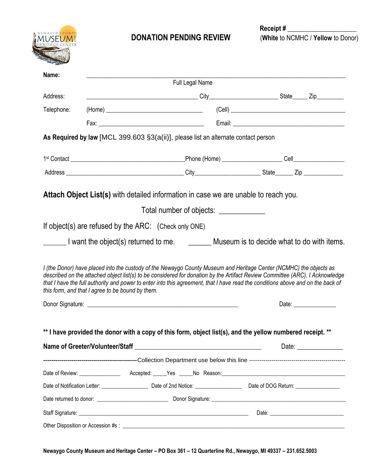

 **Receipt # \_\_\_\_\_\_\_\_\_\_\_\_\_\_\_\_\_\_\_\_\_ DONATION PENDING REVIEW** (**White** to NCMHC / **Yellow** to Donor)

| Name:      |                 |                                                                                                                                                                                                                                                                                                                                                                                                                                           |                                        |  |  |  |                        |  |
|------------|-----------------|-------------------------------------------------------------------------------------------------------------------------------------------------------------------------------------------------------------------------------------------------------------------------------------------------------------------------------------------------------------------------------------------------------------------------------------------|----------------------------------------|--|--|--|------------------------|--|
|            | Full Legal Name |                                                                                                                                                                                                                                                                                                                                                                                                                                           |                                        |  |  |  |                        |  |
| Address:   |                 |                                                                                                                                                                                                                                                                                                                                                                                                                                           |                                        |  |  |  |                        |  |
| Telephone: |                 |                                                                                                                                                                                                                                                                                                                                                                                                                                           |                                        |  |  |  |                        |  |
|            |                 |                                                                                                                                                                                                                                                                                                                                                                                                                                           |                                        |  |  |  |                        |  |
|            |                 | As Required by law [MCL 399.603 $\S3(a(ii)]$ , please list an alternate contact person                                                                                                                                                                                                                                                                                                                                                    |                                        |  |  |  |                        |  |
|            |                 |                                                                                                                                                                                                                                                                                                                                                                                                                                           |                                        |  |  |  |                        |  |
|            |                 |                                                                                                                                                                                                                                                                                                                                                                                                                                           |                                        |  |  |  |                        |  |
|            |                 | Attach Object List(s) with detailed information in case we are unable to reach you.<br>If object(s) are refused by the ARC: (Check only ONE)                                                                                                                                                                                                                                                                                              | Total number of objects: _____________ |  |  |  |                        |  |
|            |                 |                                                                                                                                                                                                                                                                                                                                                                                                                                           |                                        |  |  |  |                        |  |
|            |                 |                                                                                                                                                                                                                                                                                                                                                                                                                                           |                                        |  |  |  |                        |  |
|            |                 | I (the Donor) have placed into the custody of the Newaygo County Museum and Heritage Center (NCMHC) the objects as<br>described on the attached object list(s) to be considered for donation by the Artifact Review Committee (ARC). I Acknowledge<br>that I have the full authority and power to enter into this agreement, that I have read the conditions above and on the back of<br>this form, and that I agree to be bound by them. |                                        |  |  |  |                        |  |
|            |                 | ** I have provided the donor with a copy of this form, object list(s), and the yellow numbered receipt. **                                                                                                                                                                                                                                                                                                                                |                                        |  |  |  | Date: ________________ |  |
|            |                 |                                                                                                                                                                                                                                                                                                                                                                                                                                           |                                        |  |  |  |                        |  |
|            |                 |                                                                                                                                                                                                                                                                                                                                                                                                                                           |                                        |  |  |  |                        |  |
|            |                 |                                                                                                                                                                                                                                                                                                                                                                                                                                           |                                        |  |  |  |                        |  |
|            |                 |                                                                                                                                                                                                                                                                                                                                                                                                                                           |                                        |  |  |  |                        |  |
|            |                 |                                                                                                                                                                                                                                                                                                                                                                                                                                           |                                        |  |  |  |                        |  |
|            |                 |                                                                                                                                                                                                                                                                                                                                                                                                                                           |                                        |  |  |  |                        |  |